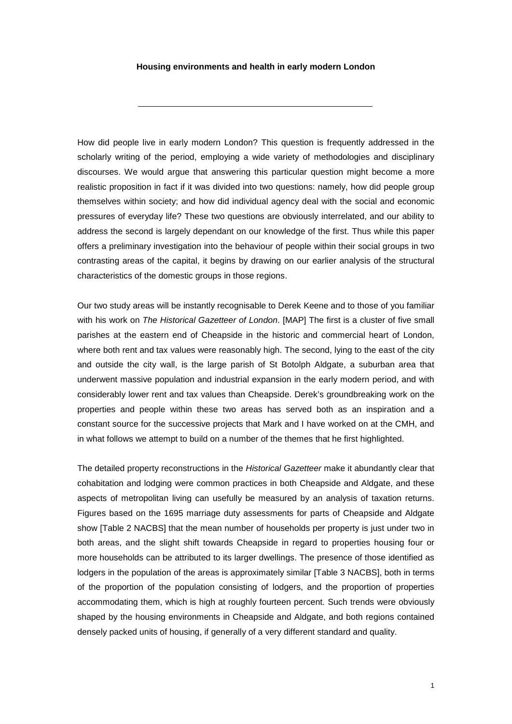## **Housing environments and health in early modern London**

How did people live in early modern London? This question is frequently addressed in the scholarly writing of the period, employing a wide variety of methodologies and disciplinary discourses. We would argue that answering this particular question might become a more realistic proposition in fact if it was divided into two questions: namely, how did people group themselves within society; and how did individual agency deal with the social and economic pressures of everyday life? These two questions are obviously interrelated, and our ability to address the second is largely dependant on our knowledge of the first. Thus while this paper offers a preliminary investigation into the behaviour of people within their social groups in two contrasting areas of the capital, it begins by drawing on our earlier analysis of the structural characteristics of the domestic groups in those regions.

Our two study areas will be instantly recognisable to Derek Keene and to those of you familiar with his work on *The Historical Gazetteer of London*. [MAP] The first is a cluster of five small parishes at the eastern end of Cheapside in the historic and commercial heart of London, where both rent and tax values were reasonably high. The second, lying to the east of the city and outside the city wall, is the large parish of St Botolph Aldgate, a suburban area that underwent massive population and industrial expansion in the early modern period, and with considerably lower rent and tax values than Cheapside. Derek's groundbreaking work on the properties and people within these two areas has served both as an inspiration and a constant source for the successive projects that Mark and I have worked on at the CMH, and in what follows we attempt to build on a number of the themes that he first highlighted.

The detailed property reconstructions in the *Historical Gazetteer* make it abundantly clear that cohabitation and lodging were common practices in both Cheapside and Aldgate, and these aspects of metropolitan living can usefully be measured by an analysis of taxation returns. Figures based on the 1695 marriage duty assessments for parts of Cheapside and Aldgate show [Table 2 NACBS] that the mean number of households per property is just under two in both areas, and the slight shift towards Cheapside in regard to properties housing four or more households can be attributed to its larger dwellings. The presence of those identified as lodgers in the population of the areas is approximately similar [Table 3 NACBS], both in terms of the proportion of the population consisting of lodgers, and the proportion of properties accommodating them, which is high at roughly fourteen percent. Such trends were obviously shaped by the housing environments in Cheapside and Aldgate, and both regions contained densely packed units of housing, if generally of a very different standard and quality.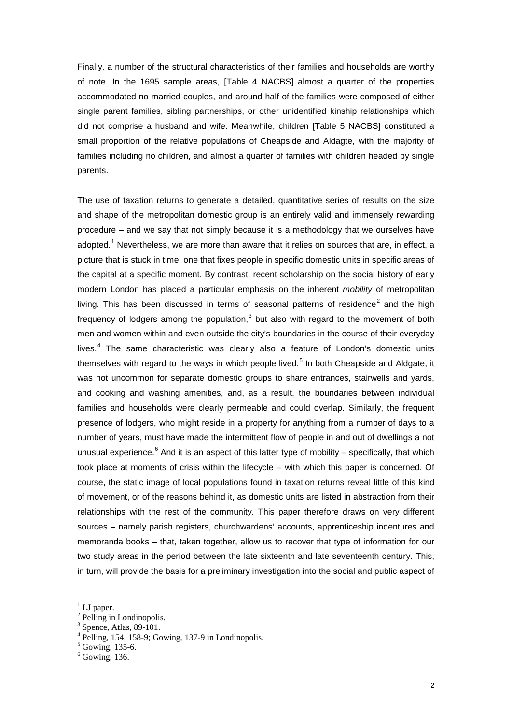Finally, a number of the structural characteristics of their families and households are worthy of note. In the 1695 sample areas, [Table 4 NACBS] almost a quarter of the properties accommodated no married couples, and around half of the families were composed of either single parent families, sibling partnerships, or other unidentified kinship relationships which did not comprise a husband and wife. Meanwhile, children [Table 5 NACBS] constituted a small proportion of the relative populations of Cheapside and Aldagte, with the majority of families including no children, and almost a quarter of families with children headed by single parents.

The use of taxation returns to generate a detailed, quantitative series of results on the size and shape of the metropolitan domestic group is an entirely valid and immensely rewarding procedure – and we say that not simply because it is a methodology that we ourselves have adopted.<sup>[1](#page-1-0)</sup> Nevertheless, we are more than aware that it relies on sources that are, in effect, a picture that is stuck in time, one that fixes people in specific domestic units in specific areas of the capital at a specific moment. By contrast, recent scholarship on the social history of early modern London has placed a particular emphasis on the inherent *mobility* of metropolitan living. This has been discussed in terms of seasonal patterns of residence<sup>[2](#page-1-1)</sup> and the high frequency of lodgers among the population, $3$  but also with regard to the movement of both men and women within and even outside the city's boundaries in the course of their everyday lives. $4$  The same characteristic was clearly also a feature of London's domestic units themselves with regard to the ways in which people lived.<sup>[5](#page-1-4)</sup> In both Cheapside and Aldgate, it was not uncommon for separate domestic groups to share entrances, stairwells and yards, and cooking and washing amenities, and, as a result, the boundaries between individual families and households were clearly permeable and could overlap. Similarly, the frequent presence of lodgers, who might reside in a property for anything from a number of days to a number of years, must have made the intermittent flow of people in and out of dwellings a not unusual experience.<sup>[6](#page-1-5)</sup> And it is an aspect of this latter type of mobility – specifically, that which took place at moments of crisis within the lifecycle – with which this paper is concerned. Of course, the static image of local populations found in taxation returns reveal little of this kind of movement, or of the reasons behind it, as domestic units are listed in abstraction from their relationships with the rest of the community. This paper therefore draws on very different sources – namely parish registers, churchwardens' accounts, apprenticeship indentures and memoranda books – that, taken together, allow us to recover that type of information for our two study areas in the period between the late sixteenth and late seventeenth century. This, in turn, will provide the basis for a preliminary investigation into the social and public aspect of

<span id="page-1-0"></span> $\frac{1}{2}$  LJ paper.<br> $\frac{1}{2}$  Pelling in Londinopolis.

<span id="page-1-3"></span>

<span id="page-1-2"></span><span id="page-1-1"></span><sup>&</sup>lt;sup>3</sup> Spence, Atlas, 89-101.<br>
<sup>4</sup> Pelling, 154, 158-9; Gowing, 137-9 in Londinopolis.<br>
<sup>5</sup> Gowing, 135-6. 6 Gowing, 136.

<span id="page-1-4"></span>

<span id="page-1-5"></span>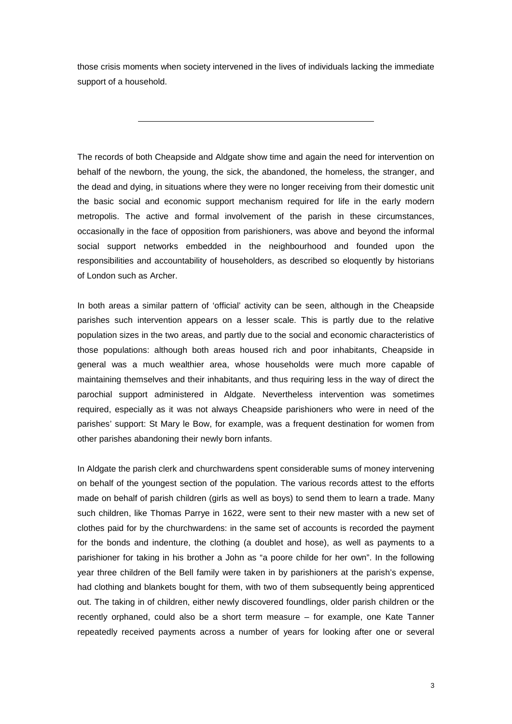those crisis moments when society intervened in the lives of individuals lacking the immediate support of a household.

The records of both Cheapside and Aldgate show time and again the need for intervention on behalf of the newborn, the young, the sick, the abandoned, the homeless, the stranger, and the dead and dying, in situations where they were no longer receiving from their domestic unit the basic social and economic support mechanism required for life in the early modern metropolis. The active and formal involvement of the parish in these circumstances, occasionally in the face of opposition from parishioners, was above and beyond the informal social support networks embedded in the neighbourhood and founded upon the responsibilities and accountability of householders, as described so eloquently by historians of London such as Archer.

In both areas a similar pattern of 'official' activity can be seen, although in the Cheapside parishes such intervention appears on a lesser scale. This is partly due to the relative population sizes in the two areas, and partly due to the social and economic characteristics of those populations: although both areas housed rich and poor inhabitants, Cheapside in general was a much wealthier area, whose households were much more capable of maintaining themselves and their inhabitants, and thus requiring less in the way of direct the parochial support administered in Aldgate. Nevertheless intervention was sometimes required, especially as it was not always Cheapside parishioners who were in need of the parishes' support: St Mary le Bow, for example, was a frequent destination for women from other parishes abandoning their newly born infants.

In Aldgate the parish clerk and churchwardens spent considerable sums of money intervening on behalf of the youngest section of the population. The various records attest to the efforts made on behalf of parish children (girls as well as boys) to send them to learn a trade. Many such children, like Thomas Parrye in 1622, were sent to their new master with a new set of clothes paid for by the churchwardens: in the same set of accounts is recorded the payment for the bonds and indenture, the clothing (a doublet and hose), as well as payments to a parishioner for taking in his brother a John as "a poore childe for her own". In the following year three children of the Bell family were taken in by parishioners at the parish's expense, had clothing and blankets bought for them, with two of them subsequently being apprenticed out. The taking in of children, either newly discovered foundlings, older parish children or the recently orphaned, could also be a short term measure – for example, one Kate Tanner repeatedly received payments across a number of years for looking after one or several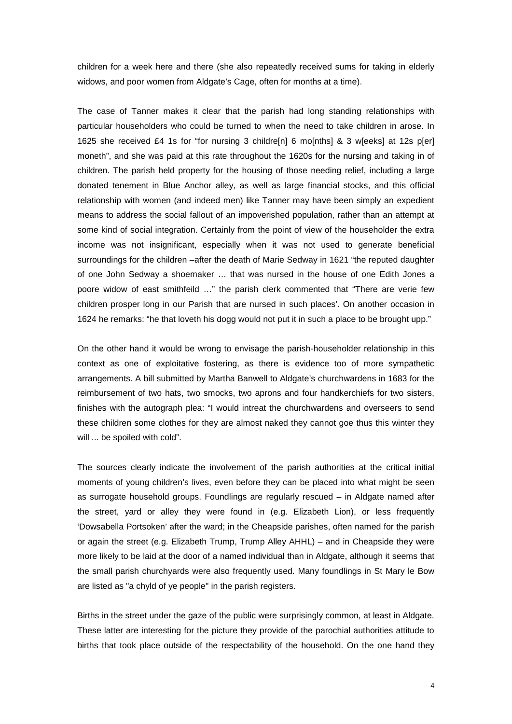children for a week here and there (she also repeatedly received sums for taking in elderly widows, and poor women from Aldgate's Cage, often for months at a time).

The case of Tanner makes it clear that the parish had long standing relationships with particular householders who could be turned to when the need to take children in arose. In 1625 she received £4 1s for "for nursing 3 childre[n] 6 mo[nths] & 3 w[eeks] at 12s p[er] moneth", and she was paid at this rate throughout the 1620s for the nursing and taking in of children. The parish held property for the housing of those needing relief, including a large donated tenement in Blue Anchor alley, as well as large financial stocks, and this official relationship with women (and indeed men) like Tanner may have been simply an expedient means to address the social fallout of an impoverished population, rather than an attempt at some kind of social integration. Certainly from the point of view of the householder the extra income was not insignificant, especially when it was not used to generate beneficial surroundings for the children –after the death of Marie Sedway in 1621 "the reputed daughter of one John Sedway a shoemaker … that was nursed in the house of one Edith Jones a poore widow of east smithfeild …" the parish clerk commented that "There are verie few children prosper long in our Parish that are nursed in such places'. On another occasion in 1624 he remarks: "he that loveth his dogg would not put it in such a place to be brought upp."

On the other hand it would be wrong to envisage the parish-householder relationship in this context as one of exploitative fostering, as there is evidence too of more sympathetic arrangements. A bill submitted by Martha Banwell to Aldgate's churchwardens in 1683 for the reimbursement of two hats, two smocks, two aprons and four handkerchiefs for two sisters, finishes with the autograph plea: "I would intreat the churchwardens and overseers to send these children some clothes for they are almost naked they cannot goe thus this winter they will ... be spoiled with cold".

The sources clearly indicate the involvement of the parish authorities at the critical initial moments of young children's lives, even before they can be placed into what might be seen as surrogate household groups. Foundlings are regularly rescued – in Aldgate named after the street, yard or alley they were found in (e.g. Elizabeth Lion), or less frequently 'Dowsabella Portsoken' after the ward; in the Cheapside parishes, often named for the parish or again the street (e.g. Elizabeth Trump, Trump Alley AHHL) – and in Cheapside they were more likely to be laid at the door of a named individual than in Aldgate, although it seems that the small parish churchyards were also frequently used. Many foundlings in St Mary le Bow are listed as "a chyld of ye people" in the parish registers.

Births in the street under the gaze of the public were surprisingly common, at least in Aldgate. These latter are interesting for the picture they provide of the parochial authorities attitude to births that took place outside of the respectability of the household. On the one hand they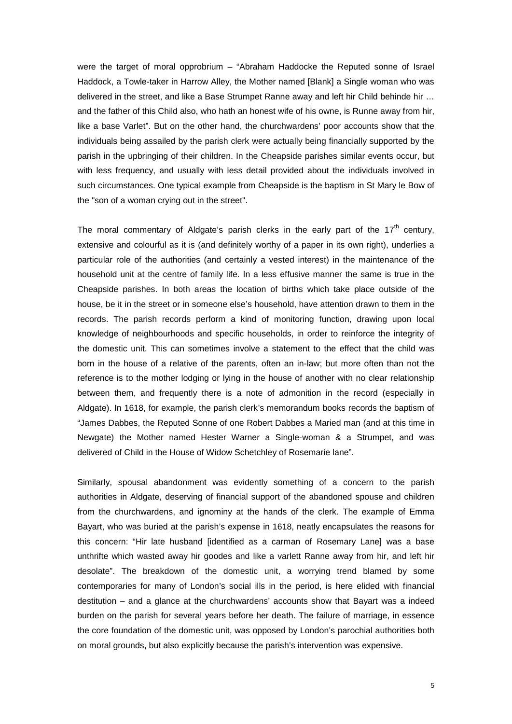were the target of moral opprobrium – "Abraham Haddocke the Reputed sonne of Israel Haddock, a Towle-taker in Harrow Alley, the Mother named [Blank] a Single woman who was delivered in the street, and like a Base Strumpet Ranne away and left hir Child behinde hir … and the father of this Child also, who hath an honest wife of his owne, is Runne away from hir, like a base Varlet". But on the other hand, the churchwardens' poor accounts show that the individuals being assailed by the parish clerk were actually being financially supported by the parish in the upbringing of their children. In the Cheapside parishes similar events occur, but with less frequency, and usually with less detail provided about the individuals involved in such circumstances. One typical example from Cheapside is the baptism in St Mary le Bow of the "son of a woman crying out in the street".

The moral commentary of Aldgate's parish clerks in the early part of the  $17<sup>th</sup>$  century, extensive and colourful as it is (and definitely worthy of a paper in its own right), underlies a particular role of the authorities (and certainly a vested interest) in the maintenance of the household unit at the centre of family life. In a less effusive manner the same is true in the Cheapside parishes. In both areas the location of births which take place outside of the house, be it in the street or in someone else's household, have attention drawn to them in the records. The parish records perform a kind of monitoring function, drawing upon local knowledge of neighbourhoods and specific households, in order to reinforce the integrity of the domestic unit. This can sometimes involve a statement to the effect that the child was born in the house of a relative of the parents, often an in-law; but more often than not the reference is to the mother lodging or lying in the house of another with no clear relationship between them, and frequently there is a note of admonition in the record (especially in Aldgate). In 1618, for example, the parish clerk's memorandum books records the baptism of "James Dabbes, the Reputed Sonne of one Robert Dabbes a Maried man (and at this time in Newgate) the Mother named Hester Warner a Single-woman & a Strumpet, and was delivered of Child in the House of Widow Schetchley of Rosemarie lane".

Similarly, spousal abandonment was evidently something of a concern to the parish authorities in Aldgate, deserving of financial support of the abandoned spouse and children from the churchwardens, and ignominy at the hands of the clerk. The example of Emma Bayart, who was buried at the parish's expense in 1618, neatly encapsulates the reasons for this concern: "Hir late husband [identified as a carman of Rosemary Lane] was a base unthrifte which wasted away hir goodes and like a varlett Ranne away from hir, and left hir desolate". The breakdown of the domestic unit, a worrying trend blamed by some contemporaries for many of London's social ills in the period, is here elided with financial destitution – and a glance at the churchwardens' accounts show that Bayart was a indeed burden on the parish for several years before her death. The failure of marriage, in essence the core foundation of the domestic unit, was opposed by London's parochial authorities both on moral grounds, but also explicitly because the parish's intervention was expensive.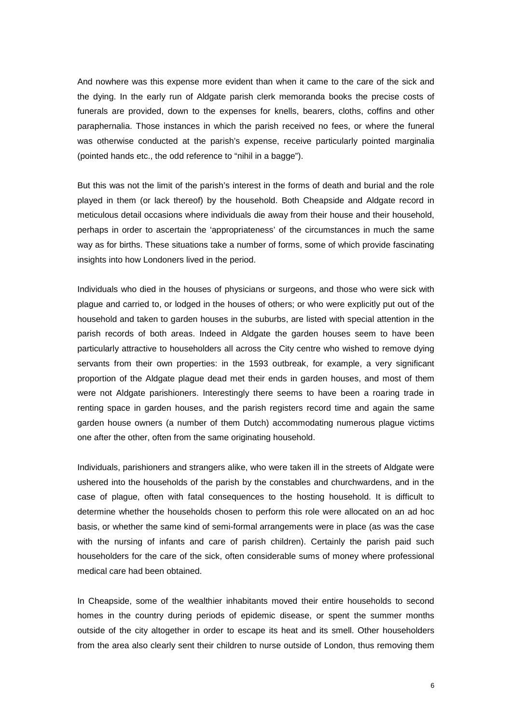And nowhere was this expense more evident than when it came to the care of the sick and the dying. In the early run of Aldgate parish clerk memoranda books the precise costs of funerals are provided, down to the expenses for knells, bearers, cloths, coffins and other paraphernalia. Those instances in which the parish received no fees, or where the funeral was otherwise conducted at the parish's expense, receive particularly pointed marginalia (pointed hands etc., the odd reference to "nihil in a bagge").

But this was not the limit of the parish's interest in the forms of death and burial and the role played in them (or lack thereof) by the household. Both Cheapside and Aldgate record in meticulous detail occasions where individuals die away from their house and their household, perhaps in order to ascertain the 'appropriateness' of the circumstances in much the same way as for births. These situations take a number of forms, some of which provide fascinating insights into how Londoners lived in the period.

Individuals who died in the houses of physicians or surgeons, and those who were sick with plague and carried to, or lodged in the houses of others; or who were explicitly put out of the household and taken to garden houses in the suburbs, are listed with special attention in the parish records of both areas. Indeed in Aldgate the garden houses seem to have been particularly attractive to householders all across the City centre who wished to remove dying servants from their own properties: in the 1593 outbreak, for example, a very significant proportion of the Aldgate plague dead met their ends in garden houses, and most of them were not Aldgate parishioners. Interestingly there seems to have been a roaring trade in renting space in garden houses, and the parish registers record time and again the same garden house owners (a number of them Dutch) accommodating numerous plague victims one after the other, often from the same originating household.

Individuals, parishioners and strangers alike, who were taken ill in the streets of Aldgate were ushered into the households of the parish by the constables and churchwardens, and in the case of plague, often with fatal consequences to the hosting household. It is difficult to determine whether the households chosen to perform this role were allocated on an ad hoc basis, or whether the same kind of semi-formal arrangements were in place (as was the case with the nursing of infants and care of parish children). Certainly the parish paid such householders for the care of the sick, often considerable sums of money where professional medical care had been obtained.

In Cheapside, some of the wealthier inhabitants moved their entire households to second homes in the country during periods of epidemic disease, or spent the summer months outside of the city altogether in order to escape its heat and its smell. Other householders from the area also clearly sent their children to nurse outside of London, thus removing them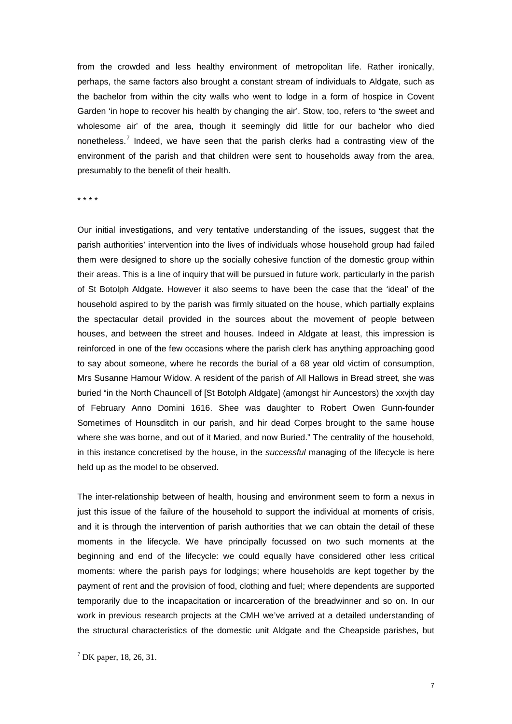from the crowded and less healthy environment of metropolitan life. Rather ironically, perhaps, the same factors also brought a constant stream of individuals to Aldgate, such as the bachelor from within the city walls who went to lodge in a form of hospice in Covent Garden 'in hope to recover his health by changing the air'. Stow, too, refers to 'the sweet and wholesome air' of the area, though it seemingly did little for our bachelor who died nonetheless.[7](#page-6-0) Indeed, we have seen that the parish clerks had a contrasting view of the environment of the parish and that children were sent to households away from the area, presumably to the benefit of their health.

\* \* \* \*

Our initial investigations, and very tentative understanding of the issues, suggest that the parish authorities' intervention into the lives of individuals whose household group had failed them were designed to shore up the socially cohesive function of the domestic group within their areas. This is a line of inquiry that will be pursued in future work, particularly in the parish of St Botolph Aldgate. However it also seems to have been the case that the 'ideal' of the household aspired to by the parish was firmly situated on the house, which partially explains the spectacular detail provided in the sources about the movement of people between houses, and between the street and houses. Indeed in Aldgate at least, this impression is reinforced in one of the few occasions where the parish clerk has anything approaching good to say about someone, where he records the burial of a 68 year old victim of consumption, Mrs Susanne Hamour Widow. A resident of the parish of All Hallows in Bread street, she was buried "in the North Chauncell of [St Botolph Aldgate] (amongst hir Auncestors) the xxvjth day of February Anno Domini 1616. Shee was daughter to Robert Owen Gunn-founder Sometimes of Hounsditch in our parish, and hir dead Corpes brought to the same house where she was borne, and out of it Maried, and now Buried." The centrality of the household, in this instance concretised by the house, in the *successful* managing of the lifecycle is here held up as the model to be observed.

The inter-relationship between of health, housing and environment seem to form a nexus in just this issue of the failure of the household to support the individual at moments of crisis, and it is through the intervention of parish authorities that we can obtain the detail of these moments in the lifecycle. We have principally focussed on two such moments at the beginning and end of the lifecycle: we could equally have considered other less critical moments: where the parish pays for lodgings; where households are kept together by the payment of rent and the provision of food, clothing and fuel; where dependents are supported temporarily due to the incapacitation or incarceration of the breadwinner and so on. In our work in previous research projects at the CMH we've arrived at a detailed understanding of the structural characteristics of the domestic unit Aldgate and the Cheapside parishes, but

<span id="page-6-0"></span> $7$  DK paper, 18, 26, 31.